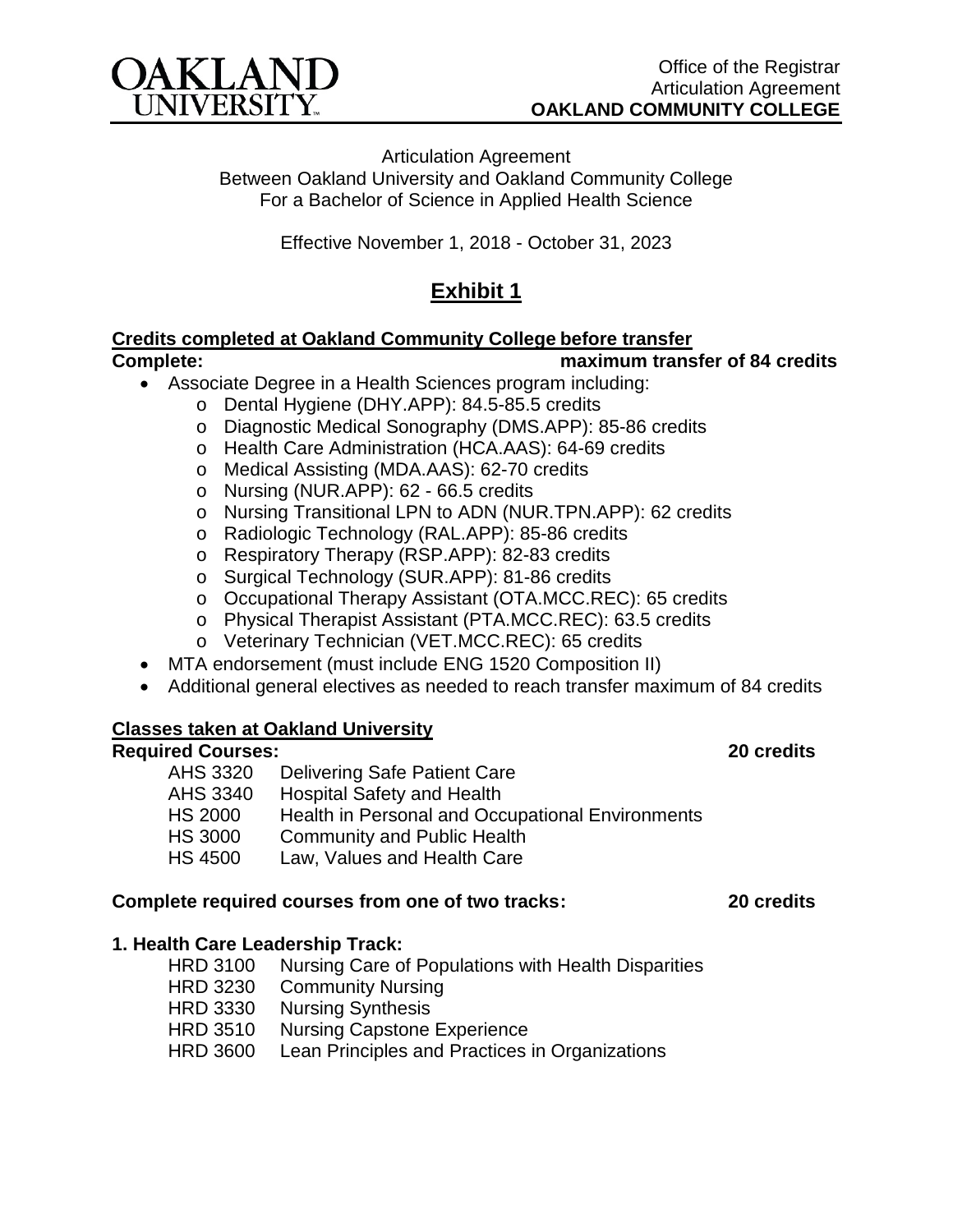

Articulation Agreement Between Oakland University and Oakland Community College For a Bachelor of Science in Applied Health Science

Effective November 1, 2018 - October 31, 2023

## **Exhibit 1**

# **Credits completed at Oakland Community College before transfer**

#### **Complete: maximum transfer of 84 credits**

- Associate Degree in a Health Sciences program including:
	- o Dental Hygiene (DHY.APP): 84.5-85.5 credits
	- o Diagnostic Medical Sonography (DMS.APP): 85-86 credits
	- o Health Care Administration (HCA.AAS): 64-69 credits
	- o Medical Assisting (MDA.AAS): 62-70 credits
	- o Nursing (NUR.APP): 62 66.5 credits
	- o Nursing Transitional LPN to ADN (NUR.TPN.APP): 62 credits
	- o Radiologic Technology (RAL.APP): 85-86 credits
	- o Respiratory Therapy (RSP.APP): 82-83 credits
	- o Surgical Technology (SUR.APP): 81-86 credits
	- o Occupational Therapy Assistant (OTA.MCC.REC): 65 credits
	- o Physical Therapist Assistant (PTA.MCC.REC): 63.5 credits
	- o Veterinary Technician (VET.MCC.REC): 65 credits
- MTA endorsement (must include ENG 1520 Composition II)
- Additional general electives as needed to reach transfer maximum of 84 credits

#### **Classes taken at Oakland University**

#### **Required Courses: 20 credits**

- AHS 3320 Delivering Safe Patient Care
- AHS 3340 Hospital Safety and Health<br>HS 2000 Health in Personal and Occ
- Health in Personal and Occupational Environments
- HS 3000 Community and Public Health
- HS 4500 Law, Values and Health Care

#### **Complete required courses from one of two tracks: 20 credits**

### **1. Health Care Leadership Track:**

HRD 3100 Nursing Care of Populations with Health Disparities HRD 3230 Community Nursing HRD 3330 Nursing Synthesis HRD 3510 Nursing Capstone Experience HRD 3600 Lean Principles and Practices in Organizations